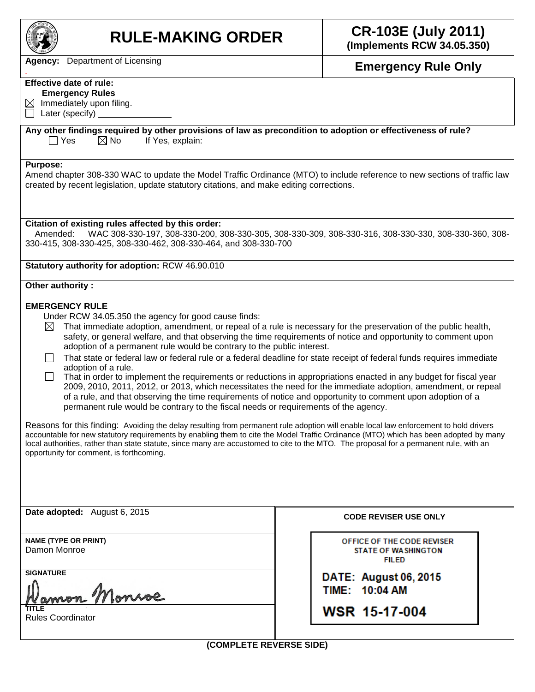

# **RULE-MAKING ORDER CR-103E (July 2011)**

**(Implements RCW 34.05.350)**

*.* **Emergency Rule Only**

**Agency:** Department of Licensing

## **Effective date of rule:**

 **Emergency Rules**

 $\boxtimes$  Immediately upon filing.  $\Box$  Later (specify)

**Any other findings required by other provisions of law as precondition to adoption or effectiveness of rule?**  $\Box$  Yes  $\Box$  No If Yes, explain:

#### **Purpose:**

Amend chapter 308-330 WAC to update the Model Traffic Ordinance (MTO) to include reference to new sections of traffic law created by recent legislation, update statutory citations, and make editing corrections.

#### **Citation of existing rules affected by this order:**

Amended: WAC 308-330-197, 308-330-200, 308-330-305, 308-330-309, 308-330-316, 308-330-330, 308-330-360, 308- 330-415, 308-330-425, 308-330-462, 308-330-464, and 308-330-700

**Statutory authority for adoption:** RCW 46.90.010

#### **Other authority :**

### **EMERGENCY RULE**

Under RCW 34.05.350 the agency for good cause finds:

That immediate adoption, amendment, or repeal of a rule is necessary for the preservation of the public health,  $\boxtimes$ safety, or general welfare, and that observing the time requirements of notice and opportunity to comment upon adoption of a permanent rule would be contrary to the public interest.

- $\Box$  That state or federal law or federal rule or a federal deadline for state receipt of federal funds requires immediate adoption of a rule.
- $\Box$  That in order to implement the requirements or reductions in appropriations enacted in any budget for fiscal year 2009, 2010, 2011, 2012, or 2013, which necessitates the need for the immediate adoption, amendment, or repeal of a rule, and that observing the time requirements of notice and opportunity to comment upon adoption of a permanent rule would be contrary to the fiscal needs or requirements of the agency.

Reasons for this finding: Avoiding the delay resulting from permanent rule adoption will enable local law enforcement to hold drivers accountable for new statutory requirements by enabling them to cite the Model Traffic Ordinance (MTO) which has been adopted by many local authorities, rather than state statute, since many are accustomed to cite to the MTO. The proposal for a permanent rule, with an opportunity for comment, is forthcoming.

**Date adopted:** August 6, 2015 **CODE REVISER USE ONLY** 

**NAME (TYPE OR PRINT)** Damon Monroe

**SIGNATURE**

mon Monroe **TITLE**

Rules Coordinator

OFFICE OF THE CODE REVISER **STATE OF WASHINGTON FILED** 

**DATE: August 06, 2015** TIME: 10:04 AM

WSR 15-17-004